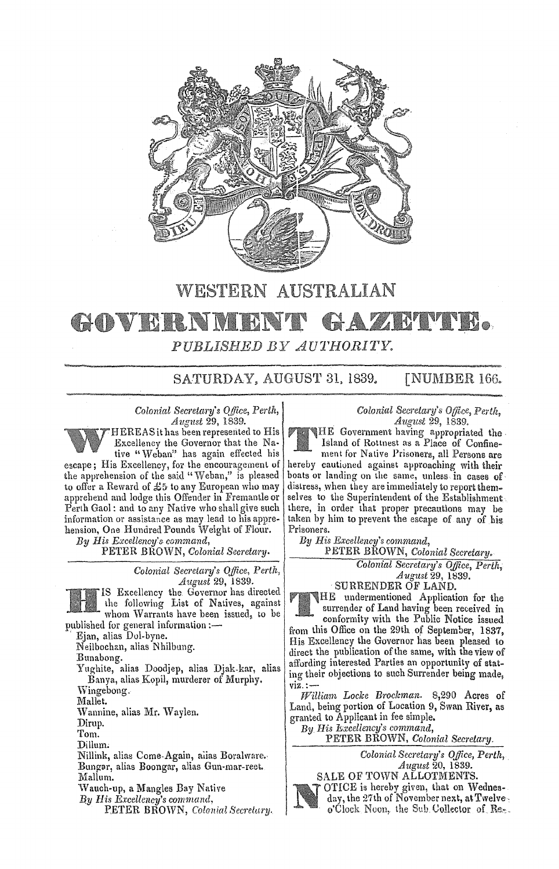

**WESTERN AUSTRALIAN** GOVERNMEN GAZETTE. PUBLISHED BY AUTHORITY.

SATURDAY, AUGUST 31, 1839. [NUMBER 166.

*Colonial Secretary's Qlfice, Perth, August* 29, 1839.

HEREASit has been represented to His Excellency the Governor that the Native "Weban" has again effected his

escape; His Excellency, for the encouragement of the apprehension of the said "Weban," is pleased to offer a Reward of  $$5$  to any European who may apprehend and lodge this Offender in Fremantle or Perth Gaol: and to any Native who shall give such information or assistance as may lead to his apprehension, One Hundred Pounds Weight of Flour.

*By His Rccellency's. command,* 

PETER BROWN, *Colonial Secretary*.

*Colonial Secretary's Office, Perth, August* 29, 1839.



Excellency the. Governor has directed the following List of Natives, against whom Warrants have been issued, to be published for general information :-

. Ejan, alias Dol-byne.

Neilbochan, alias Nhilbung.

Bunabong.

Yughite, alias Doodjep, alias Djak-kar, alias Banya, alias Kopil, murderer of Murphy. Wingebong,

Mallet.

Wmmine, alias Mr. Waylen.

Dirup.

Tom.

Dillum;

NilIink, alias Come-Again, alias Borahvare.· Bungar, alias Boongar, alias Gun-mar-rect. Mallum.

Wauch-up, a Mangles Bay Native

*B.y His Excellency'S command.* 

P.ETER BROWN, *Colonial Secretary*.

*Colonial Secretary's Office, Perth, August* 

HE Government having appropriated the Island of Rottnest as a Place of Confine-

ment for Native Prisoners, all Persons are hereby cautioned against approaching with their boats or landing on the same, unless in cases of distress, when they are immediately to report themselves to the Superintendent of the Establishment there, in order that proper precautions may be taken by him to prevent the escape of any of his Prisoners.

*By His Excellency's command,* 

PETER BROWN, *Colonial Secretary.* 

*Colonial Secretary's Office, Perth, August* 29, 1839.

SURRENDER OF LAND.

HE undermentioned Application for the surrender of Land having been received in conformity with the Public Notice issued from this Office on the 29th of September, 1837, His Excellency the Governor has been pleased to direct the publication of the same, with the view of affording interested Parties an opportunity of stating their objections to such Surrender being made, viz,:-

*William Locke Brockman.* 8,290 Acres of Land, being portion of Location 9, Swan River, as granted to Applicant in fee simple.

*By His kxcellency's command,*  PETER BROWN, *Colonial Secretary,* 



day, the 27th of November next, at Twelve. o'Clock Noon, the Sub Collector of Re-